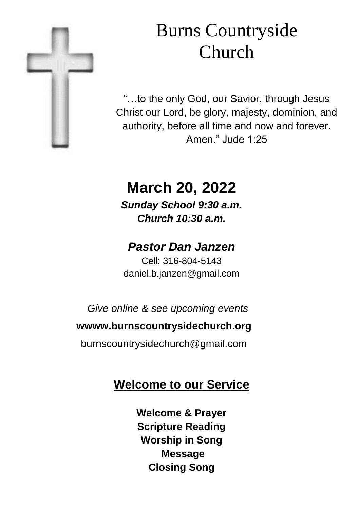

# Burns Countryside Church

"…to the only God, our Savior, through Jesus Christ our Lord, be glory, majesty, dominion, and authority, before all time and now and forever. Amen." Jude 1:25

# **March 20, 2022**

*Sunday School 9:30 a.m. Church 10:30 a.m.*

## *Pastor Dan Janzen*

Cell: 316-804-5143 daniel.b.janzen@gmail.com

*Give online & see upcoming events*

#### **wwww.burnscountrysidechurch.org**

burnscountrysidechurch@gmail.com

# **Welcome to our Service**

**Welcome & Prayer Scripture Reading Worship in Song Message Closing Song**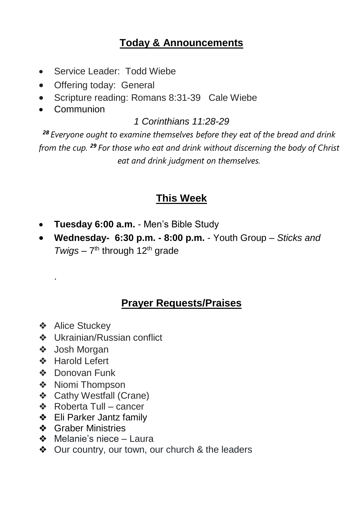#### **Today & Announcements**

- Service Leader: Todd Wiebe
- Offering today: General
- Scripture reading: Romans 8:31-39 Cale Wiebe
- Communion

#### *1 Corinthians 11:28-29*

*<sup>28</sup> Everyone ought to examine themselves before they eat of the bread and drink from the cup. <sup>29</sup> For those who eat and drink without discerning the body of Christ eat and drink judgment on themselves.*

#### **This Week**

- **Tuesday 6:00 a.m.**  Men's Bible Study
- **Wednesday- 6:30 p.m. - 8:00 p.m.**  Youth Group *Sticks and*  Twigs – 7<sup>th</sup> through 12<sup>th</sup> grade

#### **Prayer Requests/Praises**

❖ Alice Stuckey

.

- ❖ Ukrainian/Russian conflict
- ❖ Josh Morgan
- ❖ Harold Lefert
- ❖ Donovan Funk
- ❖ Niomi Thompson
- ❖ Cathy Westfall (Crane)
- ❖ Roberta Tull cancer
- ❖ Eli Parker Jantz family
- **❖** Graber Ministries
- ❖ Melanie's niece Laura
- ❖ Our country, our town, our church & the leaders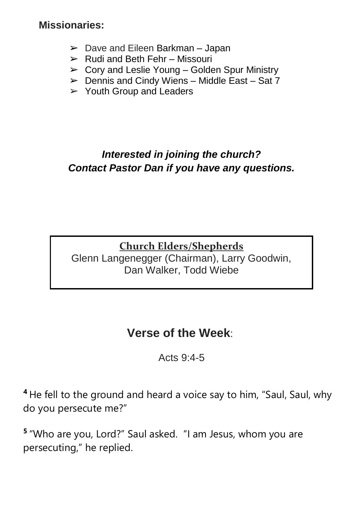#### **Missionaries:**

- $\geq$  Dave and Eileen Barkman Japan
- $\triangleright$  Rudi and Beth Fehr Missouri
- $\geq$  Cory and Leslie Young Golden Spur Ministry
- $\triangleright$  Dennis and Cindy Wiens Middle East Sat 7
- $\triangleright$  Youth Group and Leaders

#### *Interested in joining the church? Contact Pastor Dan if you have any questions.*

### **Church Elders/Shepherds**

Glenn Langenegger (Chairman), Larry Goodwin, Dan Walker, Todd Wiebe

### **Verse of the Week**:

Acts 9:4-5

**<sup>4</sup>** He fell to the ground and heard a voice say to him, "Saul, Saul, why do you persecute me?"

**5** "Who are you, Lord?" Saul asked. "I am Jesus, whom you are persecuting," he replied.